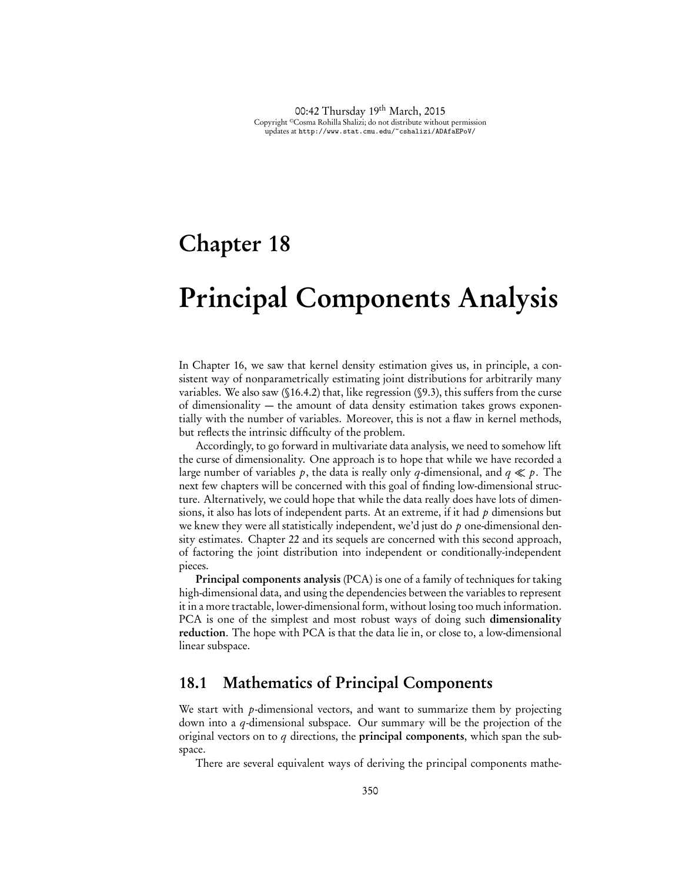## Chapter 18

# Principal Components Analysis

In Chapter 16, we saw that kernel density estimation gives us, in principle, a consistent way of nonparametrically estimating joint distributions for arbitrarily many variables. We also saw (§16.4.2) that, like regression (§9.3), this suffers from the curse of dimensionality — the amount of data density estimation takes grows exponentially with the number of variables. Moreover, this is not a flaw in kernel methods, but reflects the intrinsic difficulty of the problem.

Accordingly, to go forward in multivariate data analysis, we need to somehow lift the curse of dimensionality. One approach is to hope that while we have recorded a large number of variables p, the data is really only q-dimensional, and  $q \ll p$ . The next few chapters will be concerned with this goal of finding low-dimensional structure. Alternatively, we could hope that while the data really does have lots of dimensions, it also has lots of independent parts. At an extreme, if it had *p* dimensions but we knew they were all statistically independent, we'd just do *p* one-dimensional density estimates. Chapter 22 and its sequels are concerned with this second approach, of factoring the joint distribution into independent or conditionally-independent pieces.

Principal components analysis (PCA) is one of a family of techniques for taking high-dimensional data, and using the dependencies between the variables to represent it in a more tractable, lower-dimensional form, without losing too much information. PCA is one of the simplest and most robust ways of doing such dimensionality reduction. The hope with PCA is that the data lie in, or close to, a low-dimensional linear subspace.

## 18.1 Mathematics of Principal Components

We start with *p*-dimensional vectors, and want to summarize them by projecting down into a *q*-dimensional subspace. Our summary will be the projection of the original vectors on to *q* directions, the principal components, which span the subspace.

There are several equivalent ways of deriving the principal components mathe-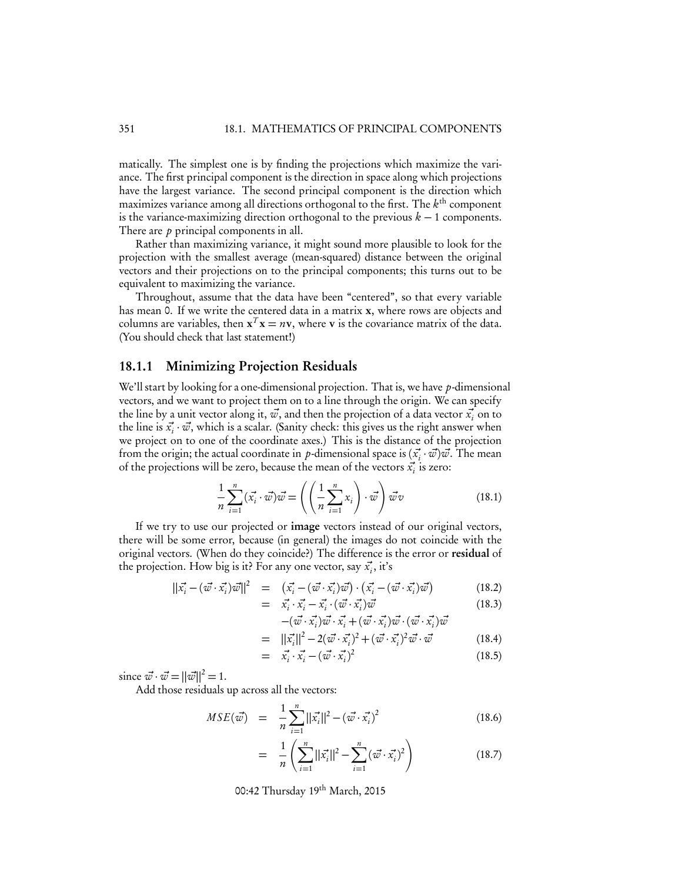matically. The simplest one is by finding the projections which maximize the variance. The first principal component is the direction in space along which projections have the largest variance. The second principal component is the direction which maximizes variance among all directions orthogonal to the first. The *k*th component is the variance-maximizing direction orthogonal to the previous  $k - 1$  components. There are *p* principal components in all.

Rather than maximizing variance, it might sound more plausible to look for the projection with the smallest average (mean-squared) distance between the original vectors and their projections on to the principal components; this turns out to be equivalent to maximizing the variance.

Throughout, assume that the data have been "centered", so that every variable has mean 0. If we write the centered data in a matrix x, where rows are objects and columns are variables, then  $x^T x = n v$ , where v is the covariance matrix of the data. (You should check that last statement!)

#### 18.1.1 Minimizing Projection Residuals

We'll start by looking for a one-dimensional projection. That is, we have *p*-dimensional vectors, and we want to project them on to a line through the origin. We can specify the line by a unit vector along it,  $\vec{w}$ , and then the projection of a data vector  $\vec{x}$ <sup>*i*</sup> on to the line is  $\vec{x}_i \cdot \vec{w}$ , which is a scalar. (Sanity check: this gives us the right answer when we project on to one of the coordinate axes.) This is the distance of the projection from the origin; the actual coordinate in *p*-dimensional space is  $(\vec{x}, \cdot \vec{w})\vec{w}$ . The mean of the projections will be zero, because the mean of the vectors  $\vec{x}$ <sup>*i*</sup> is zero:

$$
\frac{1}{n}\sum_{i=1}^{n}(\vec{x_i}\cdot\vec{w})\vec{w} = \left(\left(\frac{1}{n}\sum_{i=1}^{n}x_i\right)\cdot\vec{w}\right)\vec{w}\vec{v}
$$
\n(18.1)

If we try to use our projected or image vectors instead of our original vectors, there will be some error, because (in general) the images do not coincide with the original vectors. (When do they coincide?) The difference is the error or residual of the projection. How big is it? For any one vector, say  $\vec{x_i}$ , it's

$$
\left\| \vec{x_i} - (\vec{w} \cdot \vec{x_i}) \vec{w} \right\|^2 = \left( \vec{x_i} - (\vec{w} \cdot \vec{x_i}) \vec{w} \right) \cdot \left( \vec{x_i} - (\vec{w} \cdot \vec{x_i}) \vec{w} \right) \tag{18.2}
$$
\n
$$
= \vec{x_i} \vec{x_i} - \vec{x_i} \left( \vec{w} \cdot \vec{x_i} \right) \vec{w} \tag{18.3}
$$

$$
= \vec{x_i} \cdot \vec{x_i} - \vec{x_i} \cdot (\vec{w} \cdot \vec{x_i}) \vec{w}
$$
  
 
$$
-(\vec{w} \cdot \vec{x_i}) \vec{w} \cdot \vec{x_i} + (\vec{w} \cdot \vec{x_i}) \vec{w} \cdot (\vec{w} \cdot \vec{x_i}) \vec{w}
$$
 (18.3)

= 
$$
||\vec{x_i}||^2 - 2(\vec{w} \cdot \vec{x_i})^2 + (\vec{w} \cdot \vec{x_i})^2 \vec{w} \cdot \vec{w}
$$
 (18.4)

$$
= \vec{x_i} \cdot \vec{x_i} - (\vec{w} \cdot \vec{x_i})^2 \tag{18.5}
$$

since  $\vec{w} \cdot \vec{w} = ||\vec{w}||^2 = 1.$ 

Add those residuals up across all the vectors:

$$
MSE(\vec{w}) = \frac{1}{n} \sum_{i=1}^{n} ||\vec{x_i}||^2 - (\vec{w} \cdot \vec{x_i})^2
$$
 (18.6)

$$
= \frac{1}{n} \left( \sum_{i=1}^{n} ||\vec{x_i}||^2 - \sum_{i=1}^{n} (\vec{w} \cdot \vec{x_i})^2 \right)
$$
 (18.7)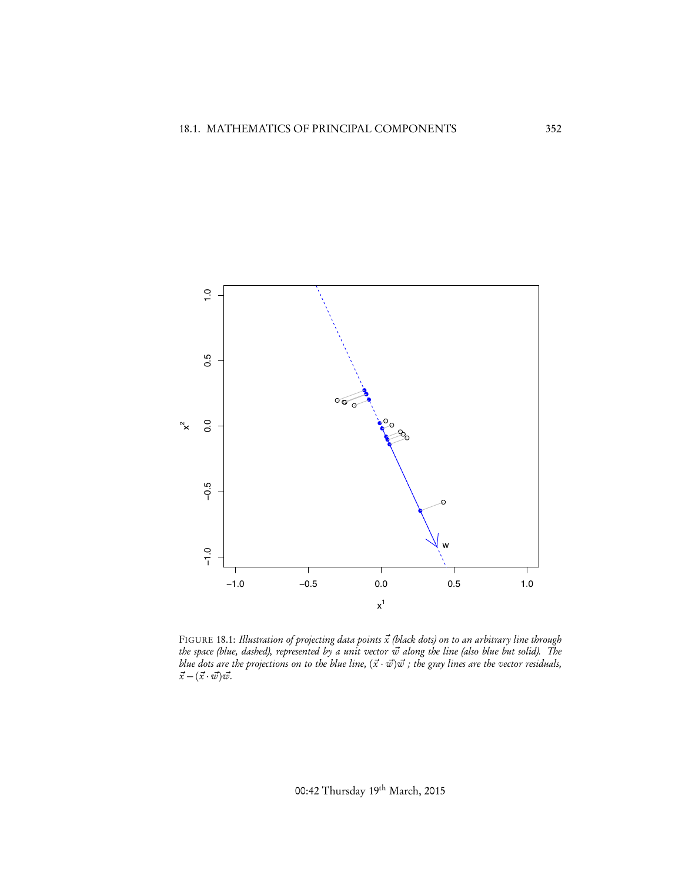

FIGURE 18.1: *Illustration of projecting data points ~x (black dots) on to an arbitrary line through the space (blue, dashed), represented by a unit vector w along the line (also blue but solid). The ~ blue dots are the projections on to the blue line,*  $(\vec{x} \cdot \vec{w})\vec{w}$  *; the gray lines are the vector residuals,*  $\vec{x} - (\vec{x} \cdot \vec{w})\vec{w}.$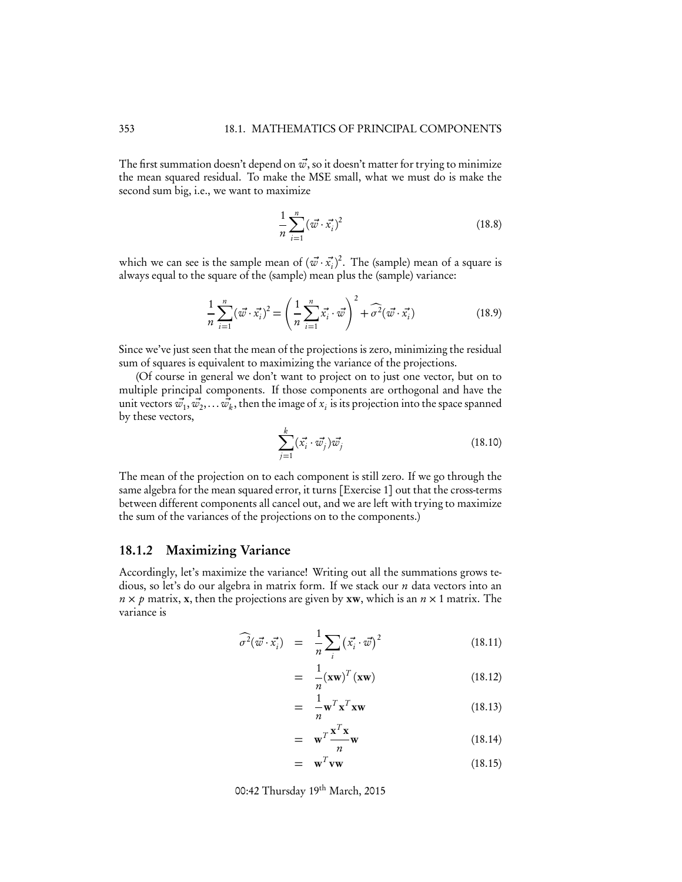The first summation doesn't depend on  $\vec{w}$ , so it doesn't matter for trying to minimize the mean squared residual. To make the MSE small, what we must do is make the second sum big, i.e., we want to maximize

$$
\frac{1}{n}\sum_{i=1}^{n} \left(\vec{w} \cdot \vec{x_i}\right)^2\tag{18.8}
$$

which we can see is the sample mean of  $(\vec{w} \cdot \vec{x}_i)^2$ . The (sample) mean of a square is always equal to the square of the (sample) mean plus the (sample) variance:

$$
\frac{1}{n}\sum_{i=1}^{n}(\vec{w}\cdot\vec{x_i})^2 = \left(\frac{1}{n}\sum_{i=1}^{n}\vec{x_i}\cdot\vec{w}\right)^2 + \widehat{\sigma^2}(\vec{w}\cdot\vec{x_i})
$$
\n(18.9)

Since we've just seen that the mean of the projections is zero, minimizing the residual sum of squares is equivalent to maximizing the variance of the projections.

(Of course in general we don't want to project on to just one vector, but on to multiple principal components. If those components are orthogonal and have the unit vectors  $\vec{w}_1, \vec{w}_2, \ldots \vec{w}_k$ , then the image of  $x_i$  is its projection into the space spanned by these vectors,

$$
\sum_{j=1}^{k} (\vec{x_i} \cdot \vec{w_j}) \vec{w_j}
$$
 (18.10)

The mean of the projection on to each component is still zero. If we go through the same algebra for the mean squared error, it turns [Exercise 1] out that the cross-terms between different components all cancel out, and we are left with trying to maximize the sum of the variances of the projections on to the components.)

#### 18.1.2 Maximizing Variance

Accordingly, let's maximize the variance! Writing out all the summations grows tedious, so let's do our algebra in matrix form. If we stack our *n* data vectors into an  $n \times p$  matrix, x, then the projections are given by xw, which is an  $n \times 1$  matrix. The variance is

$$
\widehat{\sigma^2}(\vec{w} \cdot \vec{x_i}) = \frac{1}{n} \sum_i (\vec{x_i} \cdot \vec{w})^2
$$
\n(18.11)

$$
= \frac{1}{n} (\mathbf{x}\mathbf{w})^T (\mathbf{x}\mathbf{w}) \tag{18.12}
$$

$$
= \frac{1}{n} \mathbf{w}^T \mathbf{x}^T \mathbf{x} \mathbf{w} \tag{18.13}
$$

$$
= \mathbf{w}^T \frac{\mathbf{x}^T \mathbf{x}}{n} \mathbf{w} \tag{18.14}
$$

$$
= \mathbf{w}^T \mathbf{v} \mathbf{w} \tag{18.15}
$$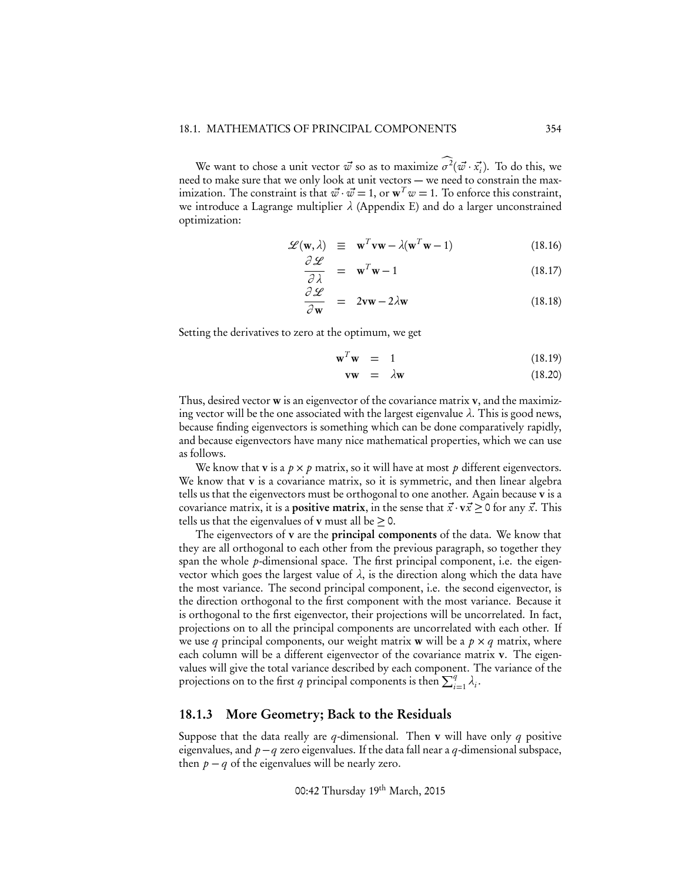We want to chose a unit vector  $\vec{w}$  so as to maximize  $\sigma^2(\vec{w} \cdot \vec{x}_i)$ . To do this, we need to make sure that we only look at unit vectors — we need to constrain the maximization. The constraint is that  $\vec{w} \cdot \vec{w} = 1$ , or  $\mathbf{w}^T w = 1$ . To enforce this constraint, we introduce a Lagrange multiplier  $\lambda$  (Appendix E) and do a larger unconstrained optimization:

$$
\mathcal{L}(\mathbf{w}, \lambda) \equiv \mathbf{w}^T \mathbf{v} \mathbf{w} - \lambda(\mathbf{w}^T \mathbf{w} - 1) \tag{18.16}
$$

$$
\frac{\partial \mathcal{L}}{\partial \lambda} = \mathbf{w}^T \mathbf{w} - 1 \tag{18.17}
$$

$$
\frac{\partial \mathcal{L}}{\partial \mathbf{w}} = 2\mathbf{v}\mathbf{w} - 2\lambda\mathbf{w} \tag{18.18}
$$

Setting the derivatives to zero at the optimum, we get

$$
\mathbf{w}^T \mathbf{w} = 1 \tag{18.19}
$$

$$
\mathbf{v}\mathbf{w} = \lambda \mathbf{w} \tag{18.20}
$$

Thus, desired vector  $w$  is an eigenvector of the covariance matrix  $v$ , and the maximizing vector will be the one associated with the largest eigenvalue  $\lambda$ . This is good news, because finding eigenvectors is something which can be done comparatively rapidly, and because eigenvectors have many nice mathematical properties, which we can use as follows.

We know that **v** is a  $p \times p$  matrix, so it will have at most p different eigenvectors. We know that **v** is a covariance matrix, so it is symmetric, and then linear algebra tells us that the eigenvectors must be orthogonal to one another. Again because v is a covariance matrix, it is a **positive matrix**, in the sense that  $\vec{x} \cdot \vec{v} \cdot \vec{z} \ge 0$  for any  $\vec{x}$ . This tells us that the eigenvalues of **v** must all be  $\geq$  0.

The eigenvectors of **v** are the **principal components** of the data. We know that they are all orthogonal to each other from the previous paragraph, so together they span the whole *p*-dimensional space. The first principal component, i.e. the eigenvector which goes the largest value of  $\lambda$ , is the direction along which the data have the most variance. The second principal component, i.e. the second eigenvector, is the direction orthogonal to the first component with the most variance. Because it is orthogonal to the first eigenvector, their projections will be uncorrelated. In fact, projections on to all the principal components are uncorrelated with each other. If we use *q* principal components, our weight matrix **w** will be a  $p \times q$  matrix, where each column will be a different eigenvector of the covariance matrix v. The eigenvalues will give the total variance described by each component. The variance of the projections on to the first *q* principal components is then  $\sum_{i=1}^{q} \lambda_i$ .

#### 18.1.3 More Geometry; Back to the Residuals

Suppose that the data really are *q*-dimensional. Then v will have only *q* positive eigenvalues, and  $p-q$  zero eigenvalues. If the data fall near a  $q$ -dimensional subspace, then  $p - q$  of the eigenvalues will be nearly zero.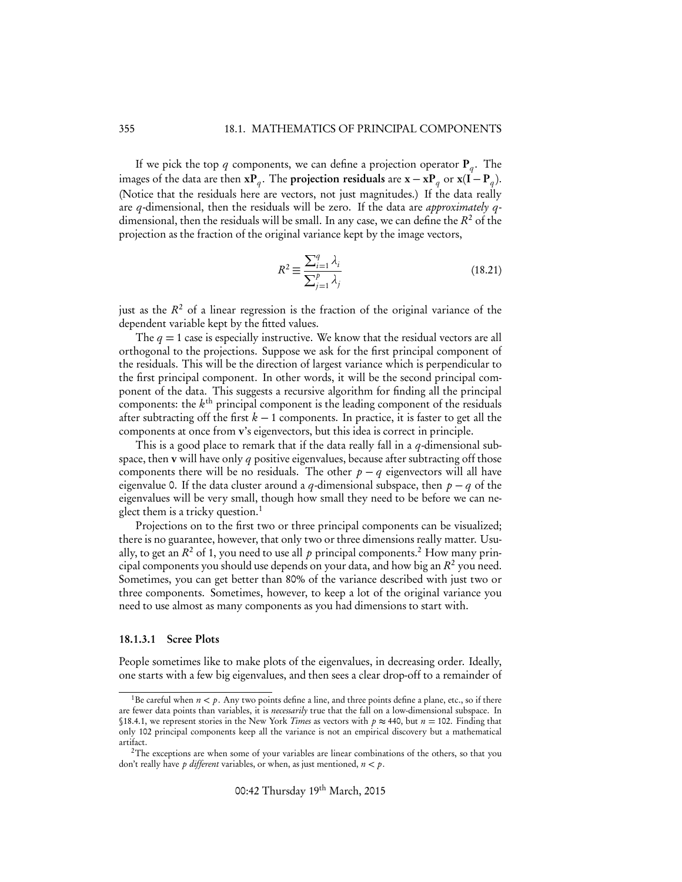If we pick the top *q* components, we can define a projection operator  $P_q$ . The images of the data are then  $xP_q$ . The projection residuals are  $x - xP_q$  or  $x(I - P_q)$ . (Notice that the residuals here are vectors, not just magnitudes.) If the data really are *q*-dimensional, then the residuals will be zero. If the data are *approximately q*dimensional, then the residuals will be small. In any case, we can define the  $R^2$  of the projection as the fraction of the original variance kept by the image vectors,

$$
R^2 \equiv \frac{\sum_{i=1}^q \lambda_i}{\sum_{j=1}^p \lambda_j}
$$
 (18.21)

just as the  $R<sup>2</sup>$  of a linear regression is the fraction of the original variance of the dependent variable kept by the fitted values.

The *q* = 1 case is especially instructive. We know that the residual vectors are all orthogonal to the projections. Suppose we ask for the first principal component of the residuals. This will be the direction of largest variance which is perpendicular to the first principal component. In other words, it will be the second principal component of the data. This suggests a recursive algorithm for finding all the principal components: the *k*th principal component is the leading component of the residuals after subtracting off the first  $k - 1$  components. In practice, it is faster to get all the components at once from v's eigenvectors, but this idea is correct in principle.

This is a good place to remark that if the data really fall in a *q*-dimensional subspace, then v will have only *q* positive eigenvalues, because after subtracting off those components there will be no residuals. The other  $p - q$  eigenvectors will all have eigenvalue 0. If the data cluster around a *q*-dimensional subspace, then  $p - q$  of the eigenvalues will be very small, though how small they need to be before we can neglect them is a tricky question.<sup>1</sup>

Projections on to the first two or three principal components can be visualized; there is no guarantee, however, that only two or three dimensions really matter. Usually, to get an  $R^2$  of 1, you need to use all p principal components.<sup>2</sup> How many principal components you should use depends on your data, and how big an *R*<sup>2</sup> you need. Sometimes, you can get better than 80% of the variance described with just two or three components. Sometimes, however, to keep a lot of the original variance you need to use almost as many components as you had dimensions to start with.

#### 18.1.3.1 Scree Plots

People sometimes like to make plots of the eigenvalues, in decreasing order. Ideally, one starts with a few big eigenvalues, and then sees a clear drop-off to a remainder of

<sup>&</sup>lt;sup>1</sup>Be careful when  $n < p$ . Any two points define a line, and three points define a plane, etc., so if there are fewer data points than variables, it is *necessarily* true that the fall on a low-dimensional subspace. In §18.4.1, we represent stories in the New York *Times* as vectors with  $p \approx 440$ , but  $n = 102$ . Finding that only 102 principal components keep all the variance is not an empirical discovery but a mathematical artifact.

<sup>&</sup>lt;sup>2</sup>The exceptions are when some of your variables are linear combinations of the others, so that you don't really have *p* different variables, or when, as just mentioned,  $n < p$ .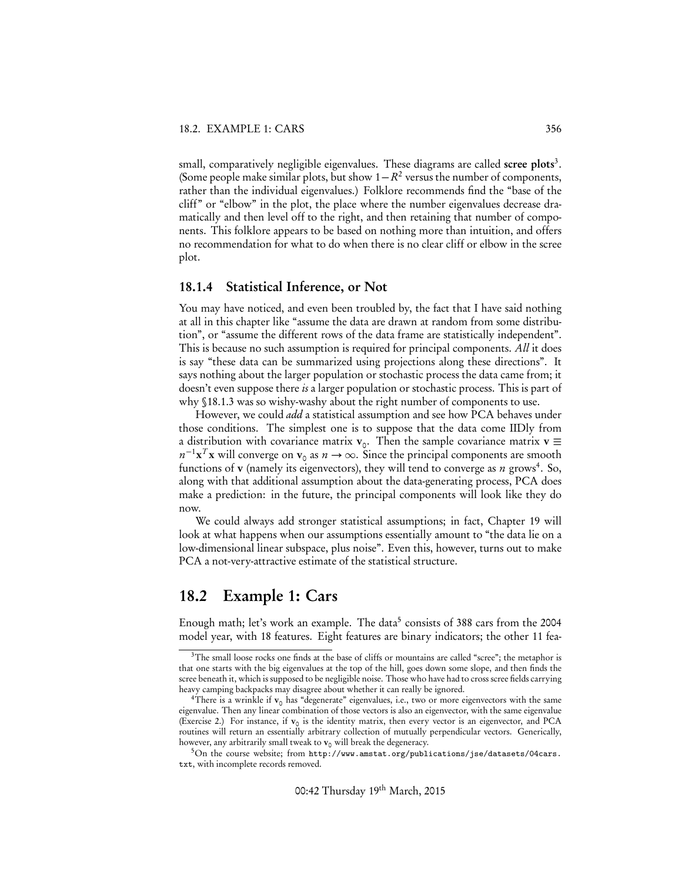small, comparatively negligible eigenvalues. These diagrams are called scree plots<sup>3</sup>. (Some people make similar plots, but show  $1 - R^2$  versus the number of components, rather than the individual eigenvalues.) Folklore recommends find the "base of the cliff" or "elbow" in the plot, the place where the number eigenvalues decrease dramatically and then level off to the right, and then retaining that number of components. This folklore appears to be based on nothing more than intuition, and offers no recommendation for what to do when there is no clear cliff or elbow in the scree plot.

#### 18.1.4 Statistical Inference, or Not

You may have noticed, and even been troubled by, the fact that I have said nothing at all in this chapter like "assume the data are drawn at random from some distribution", or "assume the different rows of the data frame are statistically independent". This is because no such assumption is required for principal components. *All* it does is say "these data can be summarized using projections along these directions". It says nothing about the larger population or stochastic process the data came from; it doesn't even suppose there *is* a larger population or stochastic process. This is part of why §18.1.3 was so wishy-washy about the right number of components to use.

However, we could *add* a statistical assumption and see how PCA behaves under those conditions. The simplest one is to suppose that the data come IIDly from a distribution with covariance matrix  $v_0$ . Then the sample covariance matrix  $v \equiv$  $n^{-1}$ **x**<sup>*T*</sup>**x** will converge on **v**<sub>0</sub> as  $n \rightarrow \infty$ . Since the principal components are smooth functions of **v** (namely its eigenvectors), they will tend to converge as *n* grows<sup>4</sup>. So, along with that additional assumption about the data-generating process, PCA does make a prediction: in the future, the principal components will look like they do now.

We could always add stronger statistical assumptions; in fact, Chapter 19 will look at what happens when our assumptions essentially amount to "the data lie on a low-dimensional linear subspace, plus noise". Even this, however, turns out to make PCA a not-very-attractive estimate of the statistical structure.

## 18.2 Example 1: Cars

Enough math; let's work an example. The data<sup>5</sup> consists of 388 cars from the 2004 model year, with 18 features. Eight features are binary indicators; the other 11 fea-

<sup>&</sup>lt;sup>3</sup>The small loose rocks one finds at the base of cliffs or mountains are called "scree"; the metaphor is that one starts with the big eigenvalues at the top of the hill, goes down some slope, and then finds the scree beneath it, which is supposed to be negligible noise. Those who have had to cross scree fields carrying heavy camping backpacks may disagree about whether it can really be ignored.

<sup>&</sup>lt;sup>4</sup>There is a wrinkle if  $v_0$  has "degenerate" eigenvalues, i.e., two or more eigenvectors with the same eigenvalue. Then any linear combination of those vectors is also an eigenvector, with the same eigenvalue (Exercise 2.) For instance, if  $v_0$  is the identity matrix, then every vector is an eigenvector, and PCA routines will return an essentially arbitrary collection of mutually perpendicular vectors. Generically, however, any arbitrarily small tweak to  $\mathbf{v}_0$  will break the degeneracy.<br><sup>5</sup>On the course website; from http://www.amstat.org/publications/jse/datasets/04cars.

txt, with incomplete records removed.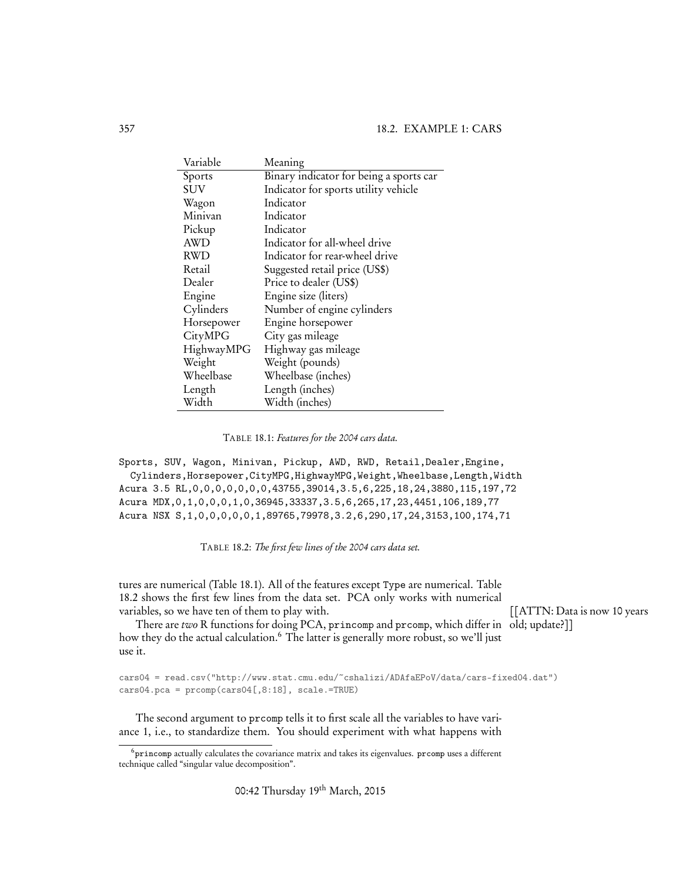| Variable   | Meaning                                 |
|------------|-----------------------------------------|
| Sports     | Binary indicator for being a sports car |
| SUV        | Indicator for sports utility vehicle    |
| Wagon      | Indicator                               |
| Minivan    | Indicator                               |
| Pickup     | Indicator                               |
| AWD        | Indicator for all-wheel drive           |
| RWD        | Indicator for rear-wheel drive          |
| Retail     | Suggested retail price (US\$)           |
| Dealer     | Price to dealer (US\$)                  |
| Engine     | Engine size (liters)                    |
| Cylinders  | Number of engine cylinders              |
| Horsepower | Engine horsepower                       |
| CityMPG    | City gas mileage                        |
| HighwayMPG | Highway gas mileage                     |
| Weight     | Weight (pounds)                         |
| Wheelbase  | Wheelbase (inches)                      |
| Length     | Length (inches)                         |
| Width      | Width (inches)                          |

TABLE 18.1: *Features for the 2004 cars data.*

Sports, SUV, Wagon, Minivan, Pickup, AWD, RWD, Retail,Dealer,Engine, Cylinders,Horsepower,CityMPG,HighwayMPG,Weight,Wheelbase,Length,Width Acura 3.5 RL,0,0,0,0,0,0,0,43755,39014,3.5,6,225,18,24,3880,115,197,72 Acura MDX,0,1,0,0,0,1,0,36945,33337,3.5,6,265,17,23,4451,106,189,77 Acura NSX S,1,0,0,0,0,0,1,89765,79978,3.2,6,290,17,24,3153,100,174,71

TABLE 18.2: *The first few lines of the 2004 cars data set.*

tures are numerical (Table 18.1). All of the features except Type are numerical. Table 18.2 shows the first few lines from the data set. PCA only works with numerical variables, so we have ten of them to play with. [[ATTN: Data is now 10 years

There are *two* R functions for doing PCA, princomp and prcomp, which differ in old; update?]] how they do the actual calculation.<sup>6</sup> The latter is generally more robust, so we'll just use it.

cars04 = read.csv("http://www.stat.cmu.edu/~cshalizi/ADAfaEPoV/data/cars-fixed04.dat") cars04.pca = prcomp(cars04[,8:18], scale.=TRUE)

The second argument to prcomp tells it to first scale all the variables to have variance 1, i.e., to standardize them. You should experiment with what happens with

<sup>&</sup>lt;sup>6</sup>princomp actually calculates the covariance matrix and takes its eigenvalues. prcomp uses a different technique called "singular value decomposition".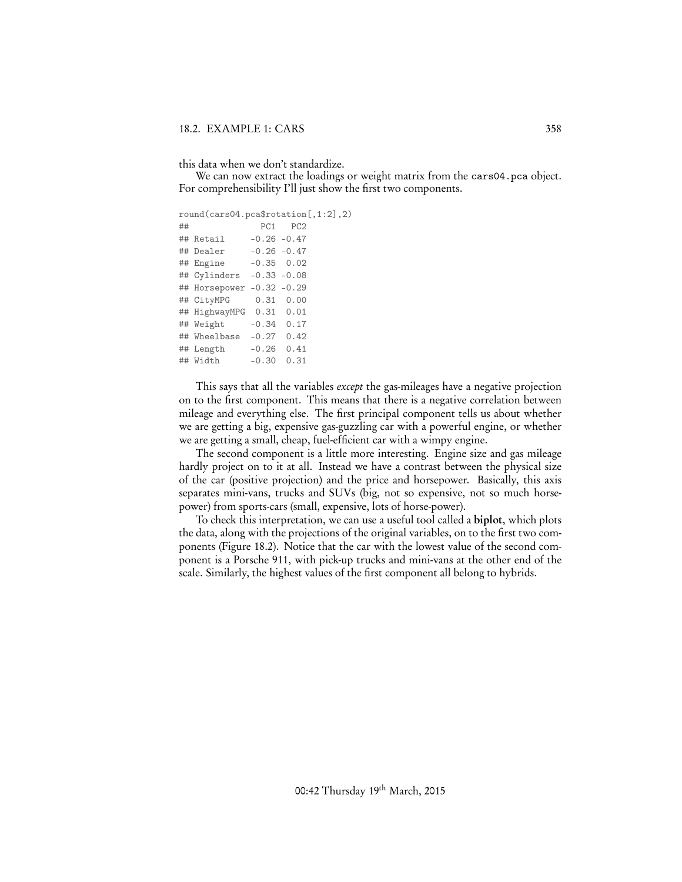this data when we don't standardize.

We can now extract the loadings or weight matrix from the cars04.pca object. For comprehensibility I'll just show the first two components.

|    | round(cars04.pca\$rotation[, 1:2], 2) |                |         |  |
|----|---------------------------------------|----------------|---------|--|
| ## |                                       |                | PC1 PC2 |  |
|    | ## Retail $-0.26$ -0.47               |                |         |  |
|    | ## Dealer                             | $-0.26 - 0.47$ |         |  |
|    | ## Engine                             | $-0.35$ 0.02   |         |  |
|    | ## Cylinders -0.33 -0.08              |                |         |  |
|    | ## Horsepower -0.32 -0.29             |                |         |  |
|    | ## CityMPG                            | $0.31$ $0.00$  |         |  |
|    | ## HighwayMPG 0.31 0.01               |                |         |  |
|    | ## Weight                             | $-0.34$ 0.17   |         |  |
|    | ## Wheelbase $-0.27$ 0.42             |                |         |  |
|    | ## Length  -0.26  0.41                |                |         |  |
|    | ## Width    -0.30                     |                | 0.31    |  |

This says that all the variables *except* the gas-mileages have a negative projection on to the first component. This means that there is a negative correlation between mileage and everything else. The first principal component tells us about whether we are getting a big, expensive gas-guzzling car with a powerful engine, or whether we are getting a small, cheap, fuel-efficient car with a wimpy engine.

The second component is a little more interesting. Engine size and gas mileage hardly project on to it at all. Instead we have a contrast between the physical size of the car (positive projection) and the price and horsepower. Basically, this axis separates mini-vans, trucks and SUVs (big, not so expensive, not so much horsepower) from sports-cars (small, expensive, lots of horse-power).

To check this interpretation, we can use a useful tool called a biplot, which plots the data, along with the projections of the original variables, on to the first two components (Figure 18.2). Notice that the car with the lowest value of the second component is a Porsche 911, with pick-up trucks and mini-vans at the other end of the scale. Similarly, the highest values of the first component all belong to hybrids.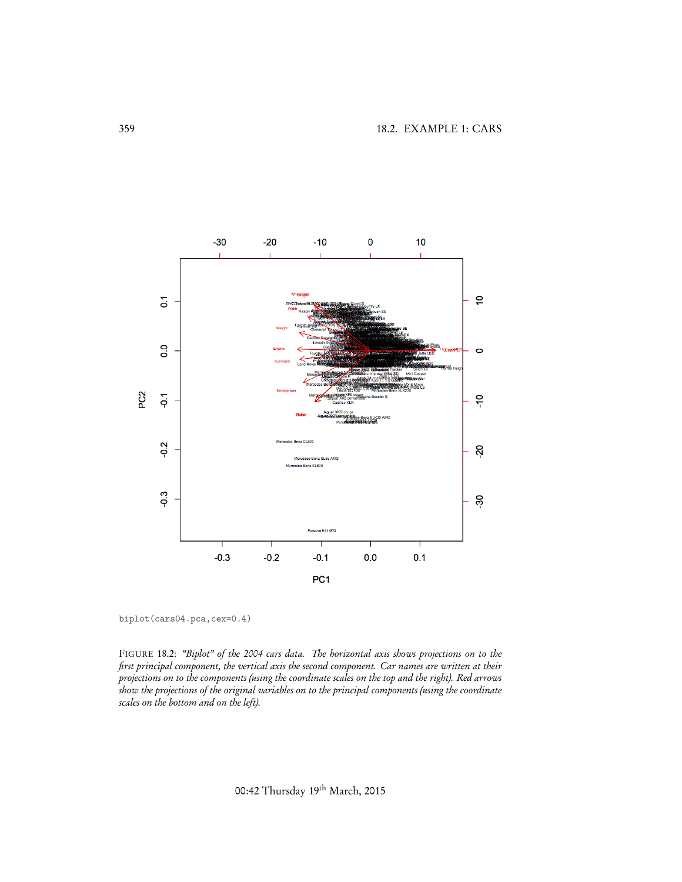

biplot(cars04.pca,cex=0.4)

FIGURE 18.2: *"Biplot" of the 2004 cars data. The horizontal axis shows projections on to the first principal component, the vertical axis the second component. Car names are written at their projections on to the components (using the coordinate scales on the top and the right). Red arrows show the projections of the original variables on to the principal components (using the coordinate scales on the bottom and on the left).*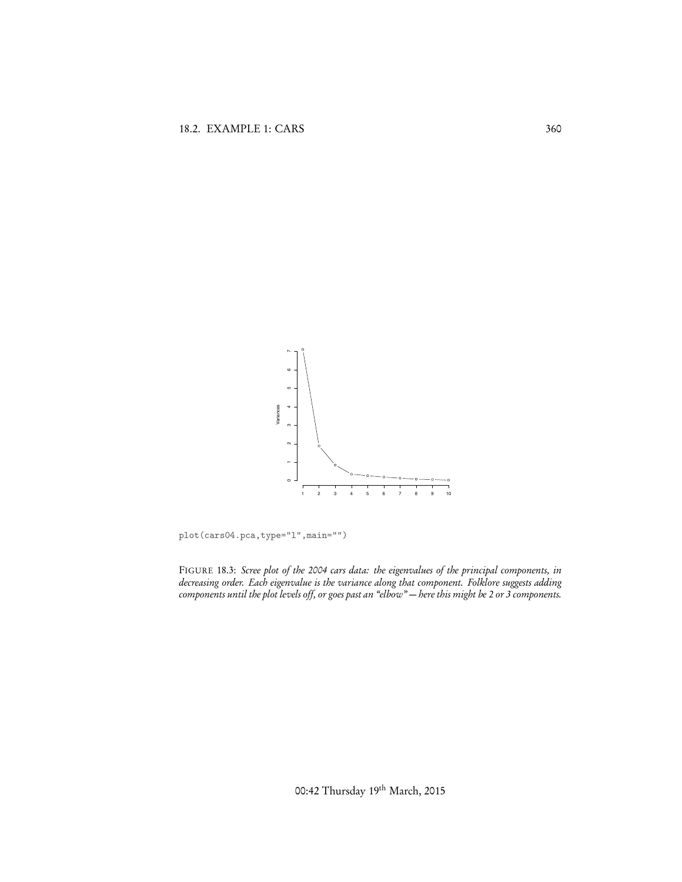

plot(cars04.pca,type="l",main="")

FIGURE 18.3: *Scree plot of the 2004 cars data: the eigenvalues of the principal components, in decreasing order. Each eigenvalue is the variance along that component. Folklore suggests adding components until the plot levels off, or goes past an "elbow" — here this might be 2 or 3 components.*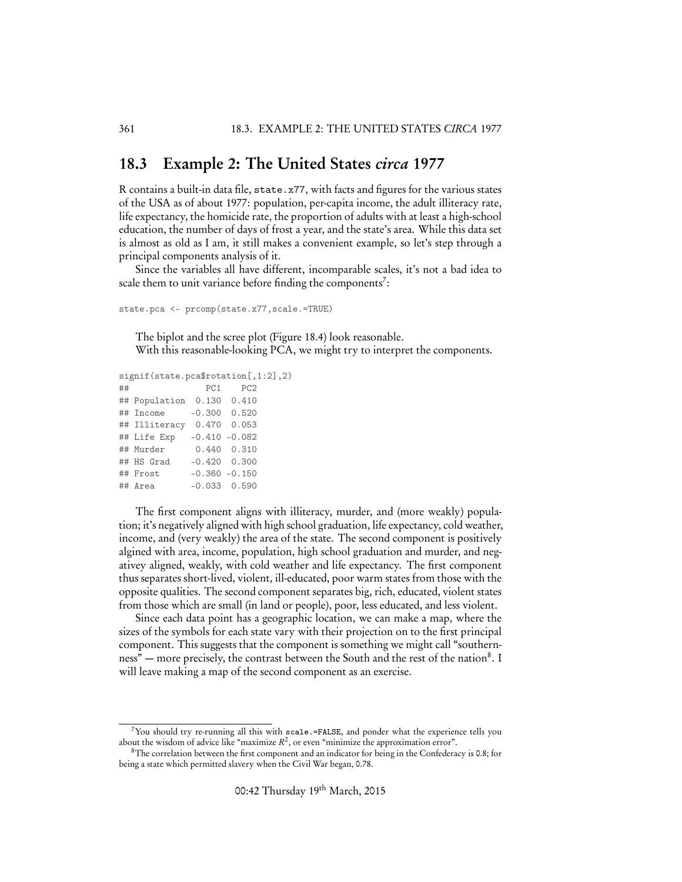## 18.3 Example 2: The United States *circa* 1977

R contains a built-in data file, state.x77, with facts and figures for the various states of the USA as of about 1977: population, per-capita income, the adult illiteracy rate, life expectancy, the homicide rate, the proportion of adults with at least a high-school education, the number of days of frost a year, and the state's area. While this data set is almost as old as I am, it still makes a convenient example, so let's step through a principal components analysis of it.

Since the variables all have different, incomparable scales, it's not a bad idea to scale them to unit variance before finding the components<sup>7</sup>:

```
state.pca <- prcomp(state.x77,scale.=TRUE)
```
The biplot and the scree plot (Figure 18.4) look reasonable. With this reasonable-looking PCA, we might try to interpret the components.

```
signif(state.pca$rotation[,1:2],2)
## PC1 PC2
## Population 0.130 0.410
## Income -0.300 0.520
## Illiteracy 0.470 0.053
## Life Exp -0.410 -0.082
## Murder 0.440 0.310
## HS Grad -0.420 0.300
## Frost -0.360 -0.150
```
## Area -0.033 0.590

The first component aligns with illiteracy, murder, and (more weakly) population; it's negatively aligned with high school graduation, life expectancy, cold weather, income, and (very weakly) the area of the state. The second component is positively algined with area, income, population, high school graduation and murder, and negativey aligned, weakly, with cold weather and life expectancy. The first component thus separates short-lived, violent, ill-educated, poor warm states from those with the opposite qualities. The second component separates big, rich, educated, violent states from those which are small (in land or people), poor, less educated, and less violent.

Since each data point has a geographic location, we can make a map, where the sizes of the symbols for each state vary with their projection on to the first principal component. This suggests that the component is something we might call "southernness" — more precisely, the contrast between the South and the rest of the nation<sup>8</sup>. I will leave making a map of the second component as an exercise.

 $<sup>7</sup>$ You should try re-running all this with scale.=FALSE, and ponder what the experience tells you</sup> about the wisdom of advice like "maximize  $R^2$ , or even "minimize the approximation error".

 $8$ The correlation between the first component and an indicator for being in the Confederacy is 0.8; for being a state which permitted slavery when the Civil War began, 0.78.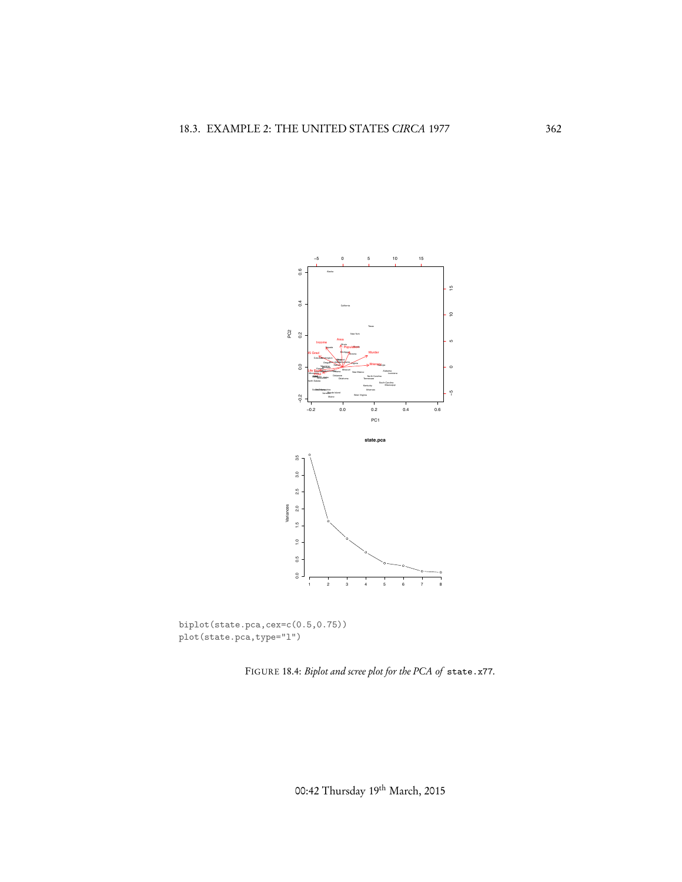

biplot(state.pca,cex=c(0.5,0.75)) plot(state.pca,type="l")

FIGURE 18.4: *Biplot and scree plot for the PCA of* state.x77*.*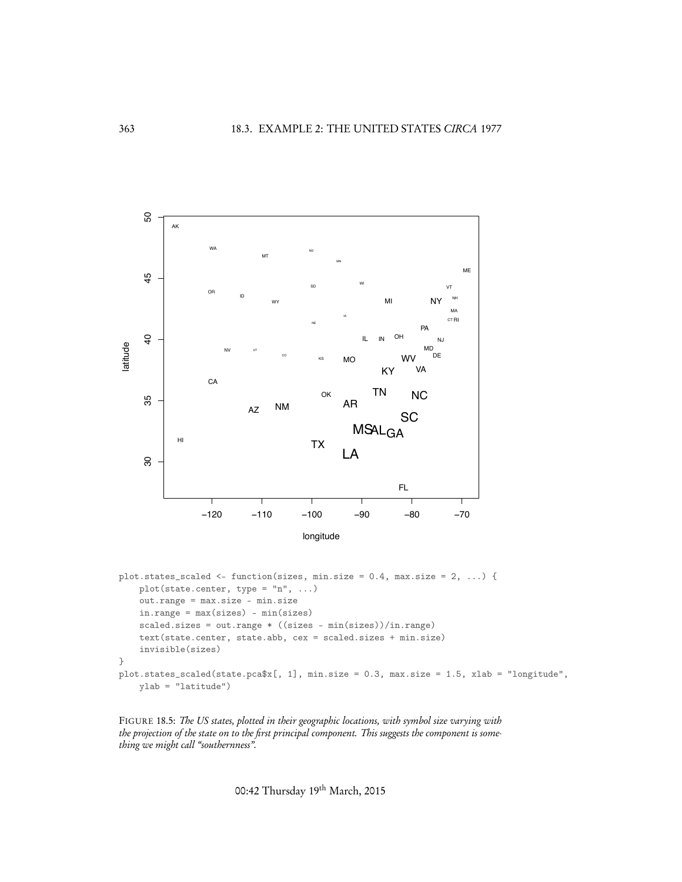

ylab = "latitude")

FIGURE 18.5: *The US states, plotted in their geographic locations, with symbol size varying with the projection of the state on to the first principal component. This suggests the component is something we might call "southernness".*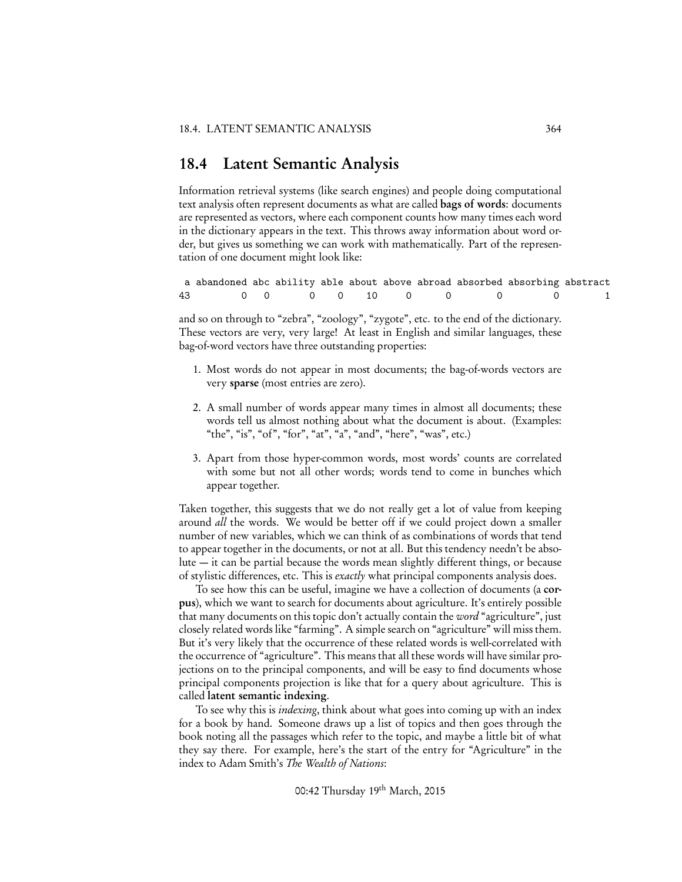## 18.4 Latent Semantic Analysis

Information retrieval systems (like search engines) and people doing computational text analysis often represent documents as what are called bags of words: documents are represented as vectors, where each component counts how many times each word in the dictionary appears in the text. This throws away information about word order, but gives us something we can work with mathematically. Part of the representation of one document might look like:

a abandoned abc ability able about above abroad absorbed absorbing abstract 43 0 0 0 0 10 0 0 0 0 1 and so on through to "zebra", "zoology", "zygote", etc. to the end of the dictionary. These vectors are very, very large! At least in English and similar languages, these bag-of-word vectors have three outstanding properties:

- 1. Most words do not appear in most documents; the bag-of-words vectors are very sparse (most entries are zero).
- 2. A small number of words appear many times in almost all documents; these words tell us almost nothing about what the document is about. (Examples: "the", "is", "of", "for", "at", "a", "and", "here", "was", etc.)
- 3. Apart from those hyper-common words, most words' counts are correlated with some but not all other words; words tend to come in bunches which appear together.

Taken together, this suggests that we do not really get a lot of value from keeping around *all* the words. We would be better off if we could project down a smaller number of new variables, which we can think of as combinations of words that tend to appear together in the documents, or not at all. But this tendency needn't be absolute — it can be partial because the words mean slightly different things, or because of stylistic differences, etc. This is *exactly* what principal components analysis does.

To see how this can be useful, imagine we have a collection of documents (a corpus), which we want to search for documents about agriculture. It's entirely possible that many documents on this topic don't actually contain the *word* "agriculture", just closely related words like "farming". A simple search on "agriculture" will miss them. But it's very likely that the occurrence of these related words is well-correlated with the occurrence of "agriculture". This means that all these words will have similar projections on to the principal components, and will be easy to find documents whose principal components projection is like that for a query about agriculture. This is called latent semantic indexing.

To see why this is *indexing*, think about what goes into coming up with an index for a book by hand. Someone draws up a list of topics and then goes through the book noting all the passages which refer to the topic, and maybe a little bit of what they say there. For example, here's the start of the entry for "Agriculture" in the index to Adam Smith's *The Wealth of Nations*: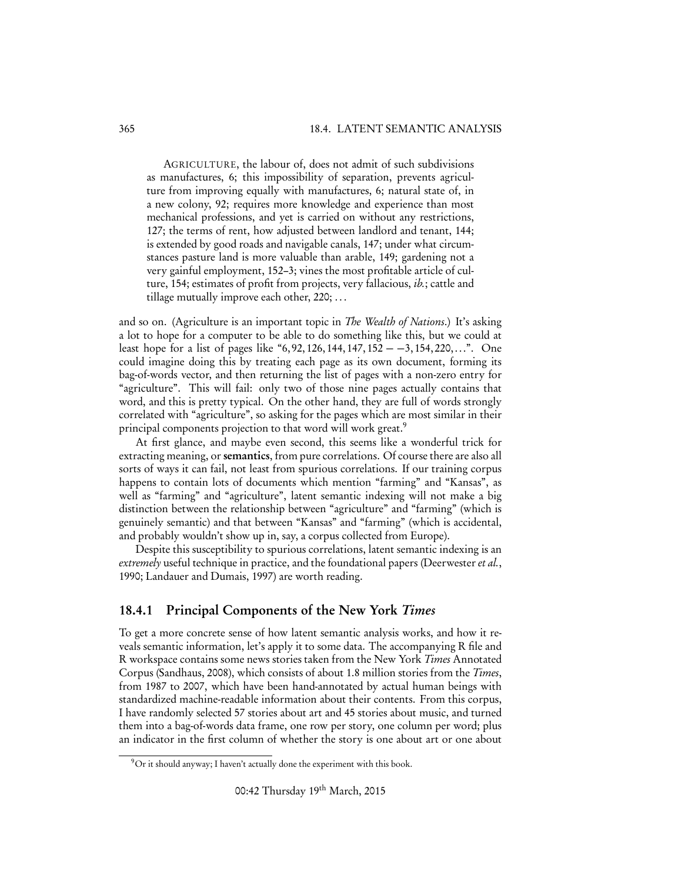AGRICULTURE, the labour of, does not admit of such subdivisions as manufactures, 6; this impossibility of separation, prevents agriculture from improving equally with manufactures, 6; natural state of, in a new colony, 92; requires more knowledge and experience than most mechanical professions, and yet is carried on without any restrictions, 127; the terms of rent, how adjusted between landlord and tenant, 144; is extended by good roads and navigable canals, 147; under what circumstances pasture land is more valuable than arable, 149; gardening not a very gainful employment, 152–3; vines the most profitable article of culture, 154; estimates of profit from projects, very fallacious, *ib.*; cattle and tillage mutually improve each other, 220; . . .

and so on. (Agriculture is an important topic in *The Wealth of Nations*.) It's asking a lot to hope for a computer to be able to do something like this, but we could at least hope for a list of pages like "6, 92, 126, 144, 147, 152 - -3, 154, 220,...". One could imagine doing this by treating each page as its own document, forming its bag-of-words vector, and then returning the list of pages with a non-zero entry for "agriculture". This will fail: only two of those nine pages actually contains that word, and this is pretty typical. On the other hand, they are full of words strongly correlated with "agriculture", so asking for the pages which are most similar in their principal components projection to that word will work great.<sup>9</sup>

At first glance, and maybe even second, this seems like a wonderful trick for extracting meaning, or semantics, from pure correlations. Of course there are also all sorts of ways it can fail, not least from spurious correlations. If our training corpus happens to contain lots of documents which mention "farming" and "Kansas", as well as "farming" and "agriculture", latent semantic indexing will not make a big distinction between the relationship between "agriculture" and "farming" (which is genuinely semantic) and that between "Kansas" and "farming" (which is accidental, and probably wouldn't show up in, say, a corpus collected from Europe).

Despite this susceptibility to spurious correlations, latent semantic indexing is an *extremely* useful technique in practice, and the foundational papers (Deerwester *et al.*, 1990; Landauer and Dumais, 1997) are worth reading.

#### 18.4.1 Principal Components of the New York *Times*

To get a more concrete sense of how latent semantic analysis works, and how it reveals semantic information, let's apply it to some data. The accompanying R file and R workspace contains some news stories taken from the New York *Times* Annotated Corpus (Sandhaus, 2008), which consists of about 1.8 million stories from the *Times*, from 1987 to 2007, which have been hand-annotated by actual human beings with standardized machine-readable information about their contents. From this corpus, I have randomly selected 57 stories about art and 45 stories about music, and turned them into a bag-of-words data frame, one row per story, one column per word; plus an indicator in the first column of whether the story is one about art or one about

<sup>&</sup>lt;sup>9</sup>Or it should anyway; I haven't actually done the experiment with this book.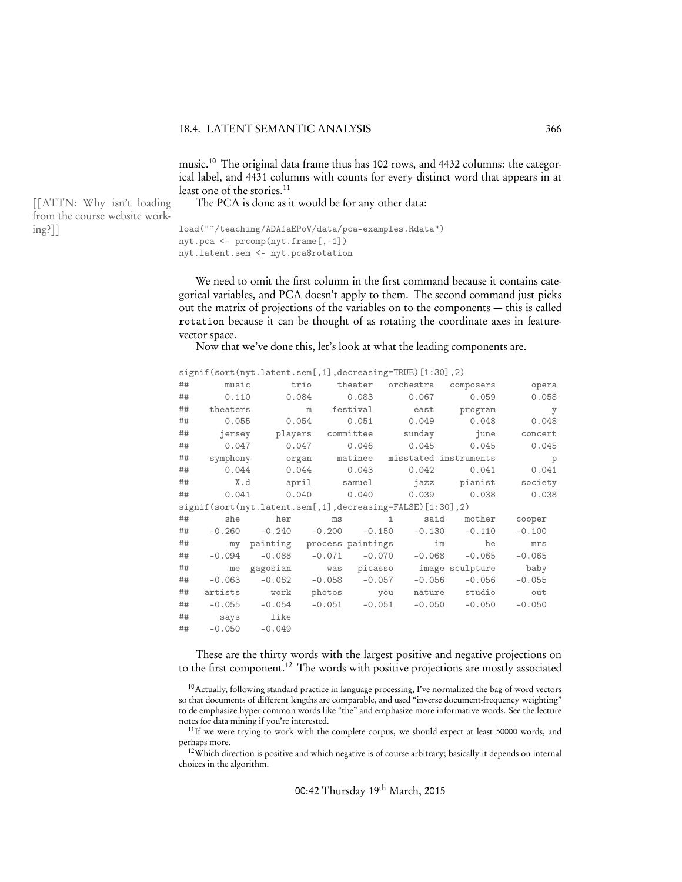music.<sup>10</sup> The original data frame thus has 102 rows, and 4432 columns: the categorical label, and 4431 columns with counts for every distinct word that appears in at least one of the stories.<sup>11</sup>

[[ATTN: Why isn't loading The PCA is done as it would be for any other data:

```
from the course website work-
```

```
ing?]] load("~/teaching/ADAfaEPoV/data/pca-examples.Rdata")
                        nyt.pca <- prcomp(nyt.frame[,-1])
                        nyt.latent.sem <- nyt.pca$rotation
```
We need to omit the first column in the first command because it contains categorical variables, and PCA doesn't apply to them. The second command just picks out the matrix of projections of the variables on to the components — this is called rotation because it can be thought of as rotating the coordinate axes in featurevector space.

Now that we've done this, let's look at what the leading components are.

|                                                           |          | $signif(sort(nyt.latent.sem[, 1], decreasing=TRUE)$ [1:30],2) |                        |                  |                      |                                     |              |
|-----------------------------------------------------------|----------|---------------------------------------------------------------|------------------------|------------------|----------------------|-------------------------------------|--------------|
| ##                                                        | music    | trio                                                          |                        |                  | theater orchestra    | composers                           | opera        |
| ##                                                        | 0.110    |                                                               | 0.084                  | 0.083            | 0.067                | 0.059                               | 0.058        |
| ##                                                        | theaters |                                                               | m                      | festival         | east                 | program                             | y            |
| ##                                                        | 0.055    |                                                               | 0.054                  | 0.051            | 0.049                | 0.048                               | 0.048        |
| ##                                                        |          | jersey players committee sunday                               |                        |                  |                      | june                                | concert      |
| ##                                                        | 0.047    |                                                               | $0.047$ 0.046          |                  | 0.045                | 0.045                               | 0.045        |
| ##                                                        | symphony |                                                               |                        |                  |                      | organ matinee misstated instruments | $\mathbf{p}$ |
| ##                                                        | 0.044    |                                                               | $0.044$ $0.043$        |                  | 0.042                | 0.041                               | 0.041        |
| ##                                                        | X.d      |                                                               | april samuel           |                  | jazz                 | pianist                             | society      |
| ##                                                        | 0.041    |                                                               | 0.040                  | 0.040            | 0.039                | 0.038                               | 0.038        |
| signif(sort(nyt.latent.sem[,1],decreasing=FALSE)[1:30],2) |          |                                                               |                        |                  |                      |                                     |              |
| ##                                                        | she      | her                                                           |                        | ms               | i                    | said<br>mother                      | cooper       |
| ##                                                        | $-0.260$ | $-0.240 -0.200 -0.150$                                        |                        |                  |                      | $-0.130 -0.110$                     | $-0.100$     |
| ##                                                        | mv       | painting process paintings                                    |                        |                  |                      | im<br>he                            | mrs          |
| ##                                                        | $-0.094$ |                                                               | $-0.088 - 0.071$       |                  | $-0.068$<br>$-0.070$ | $-0.065$                            | $-0.065$     |
| ##                                                        | me       | gagosian                                                      | was                    |                  |                      | picasso image sculpture             | baby         |
| ##                                                        | $-0.063$ |                                                               | $-0.062 -0.058 -0.057$ |                  | $-0.056$             | $-0.056$                            | $-0.055$     |
| ##                                                        |          | artists work photos you                                       |                        |                  |                      | studio<br>nature                    | out          |
| ##                                                        | $-0.055$ | $-0.054$                                                      |                        | $-0.051 - 0.051$ | $-0.050$             | $-0.050$                            | $-0.050$     |
|                                                           |          |                                                               |                        |                  |                      |                                     |              |
| ##                                                        | says     | like                                                          |                        |                  |                      |                                     |              |

These are the thirty words with the largest positive and negative projections on to the first component.<sup>12</sup> The words with positive projections are mostly associated

<sup>&</sup>lt;sup>10</sup> Actually, following standard practice in language processing, I've normalized the bag-of-word vectors so that documents of different lengths are comparable, and used "inverse document-frequency weighting" to de-emphasize hyper-common words like "the" and emphasize more informative words. See the lecture notes for data mining if you're interested.

 $11$ If we were trying to work with the complete corpus, we should expect at least 50000 words, and perhaps more.

 $12$ Which direction is positive and which negative is of course arbitrary; basically it depends on internal choices in the algorithm.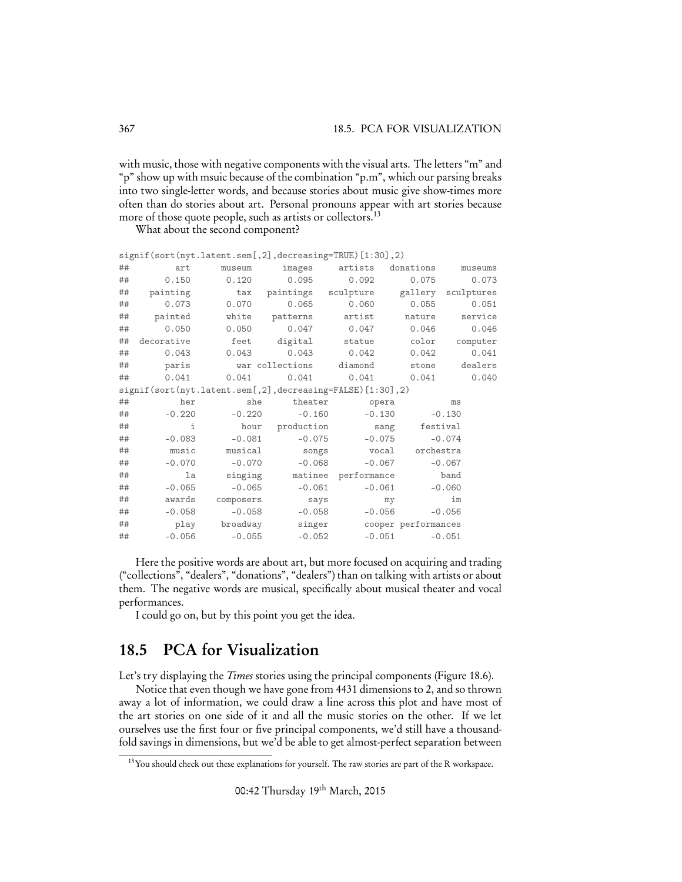with music, those with negative components with the visual arts. The letters "m" and "p" show up with msuic because of the combination "p.m", which our parsing breaks into two single-letter words, and because stories about music give show-times more often than do stories about art. Personal pronouns appear with art stories because more of those quote people, such as artists or collectors.<sup>13</sup>

What about the second component?

|    | $signif(sort(nyt.latent.sem[,2], decreasing=TRUE)[1:30],2)$ |                                     |                                            |                               |                 |          |
|----|-------------------------------------------------------------|-------------------------------------|--------------------------------------------|-------------------------------|-----------------|----------|
| ## | art                                                         | museum                              | images                                     | artists                       | donations       | museums  |
| ## | 0.150                                                       | 0.120                               | 0.095                                      | 0.092                         | 0.075           | 0.073    |
| ## | painting                                                    |                                     | tax paintings sculpture gallery sculptures |                               |                 |          |
| ## |                                                             | $0.073$ 0.070 0.065 0.060           |                                            |                               | 0.055           | 0.051    |
| ## | painted                                                     |                                     | white patterns artist nature               |                               |                 | service  |
| ## | 0.050                                                       | 0.050 0.047 0.047 0.046             |                                            |                               |                 | 0.046    |
| ## | decorative feet                                             |                                     |                                            | digital statue color computer |                 |          |
| ## |                                                             | $0.043$ 0.043                       | 0.043                                      | 0.042                         | 0.042           | 0.041    |
| ## |                                                             | paris war collections diamond stone |                                            |                               |                 | dealers  |
| ## | 0.041                                                       | 0.041                               | 0.041                                      | 0.041                         | 0.041           | 0.040    |
|    | signif(sort(nyt.latent.sem[,2],decreasing=FALSE)[1:30],2)   |                                     |                                            |                               |                 |          |
| ## | her                                                         | she                                 |                                            | theater opera                 |                 | ms       |
| ## | $-0.220$                                                    | $-0.220$                            |                                            | $-0.160 -0.130$               |                 | $-0.130$ |
| ## | i                                                           |                                     | hour production sang                       |                               | festival        |          |
| ## | $-0.083$                                                    | $-0.081$                            |                                            | $-0.075$                      | $-0.075$        | $-0.074$ |
| ## | music                                                       | musical                             | songs                                      |                               | vocal orchestra |          |
| ## | $-0.070$                                                    | $-0.070$                            | $-0.068$                                   |                               | $-0.067$        | $-0.067$ |
| ## | la                                                          |                                     | singing matinee                            | performance                   |                 | band     |
| ## | $-0.065$                                                    | $-0.065$                            | $-0.061$                                   |                               | $-0.061$        | $-0.060$ |
| ## | awards                                                      | composers                           | says                                       |                               | my              | im       |
| ## | $-0.058$                                                    | $-0.058$                            |                                            | $-0.058$<br>$-0.056$          |                 | $-0.056$ |
| ## | play                                                        | broadway                            |                                            | singer cooper performances    |                 |          |
| ## | $-0.056$                                                    | $-0.055$                            | $-0.052$                                   | $-0.051$                      |                 | $-0.051$ |

Here the positive words are about art, but more focused on acquiring and trading ("collections", "dealers", "donations", "dealers") than on talking with artists or about them. The negative words are musical, specifically about musical theater and vocal performances.

I could go on, but by this point you get the idea.

## 18.5 PCA for Visualization

Let's try displaying the *Times* stories using the principal components (Figure 18.6).

Notice that even though we have gone from 4431 dimensions to 2, and so thrown away a lot of information, we could draw a line across this plot and have most of the art stories on one side of it and all the music stories on the other. If we let ourselves use the first four or five principal components, we'd still have a thousandfold savings in dimensions, but we'd be able to get almost-perfect separation between

<sup>&</sup>lt;sup>13</sup>You should check out these explanations for yourself. The raw stories are part of the R workspace.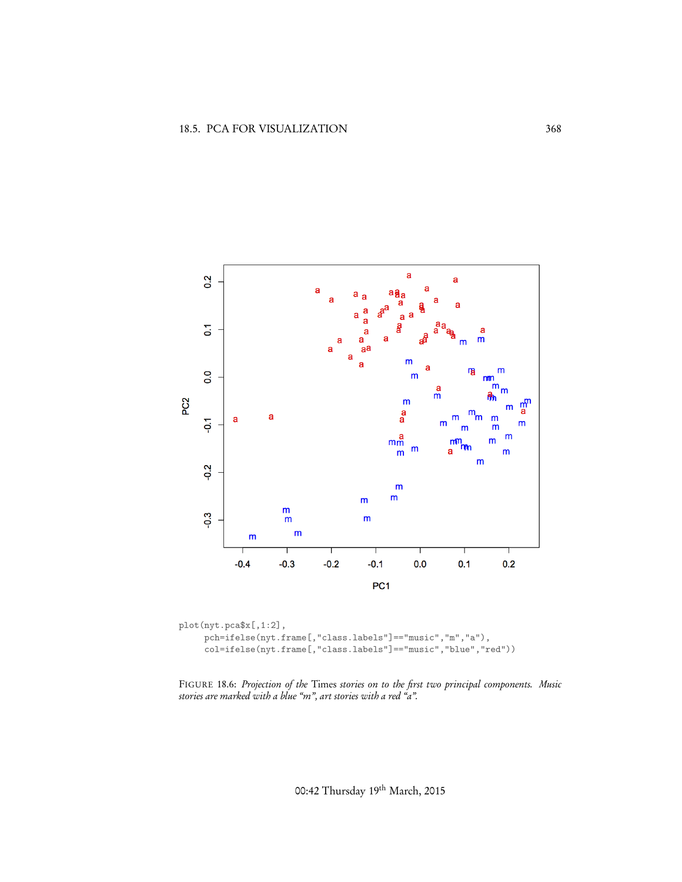

plot(nyt.pca\$x[,1:2], pch=ifelse(nyt.frame[,"class.labels"]=="music","m","a"), col=ifelse(nyt.frame[,"class.labels"]=="music","blue","red"))

FIGURE 18.6: *Projection of the* Times *stories on to the first two principal components. Music stories are marked with a blue "m", art stories with a red "a".*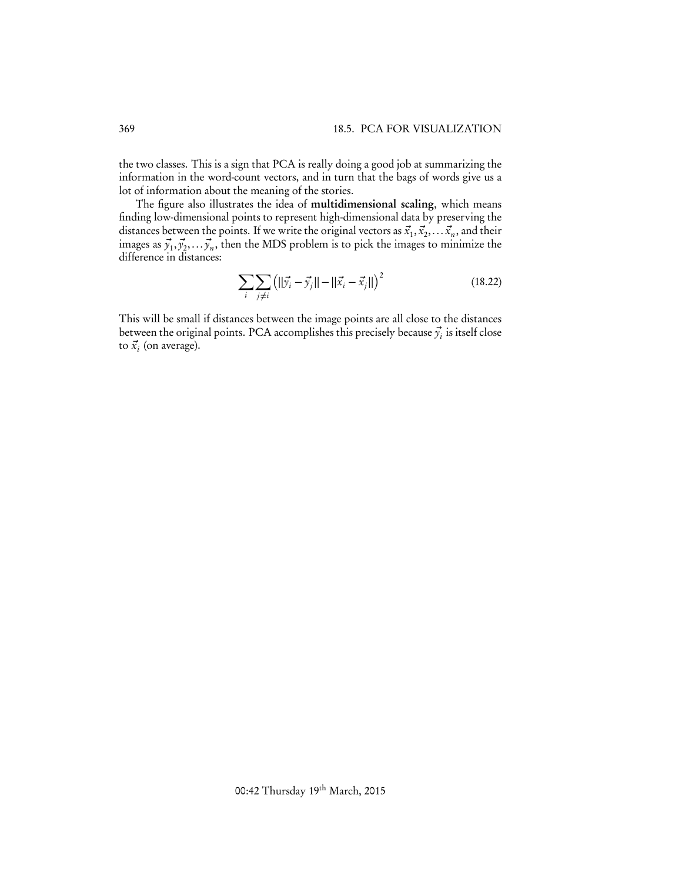the two classes. This is a sign that PCA is really doing a good job at summarizing the information in the word-count vectors, and in turn that the bags of words give us a lot of information about the meaning of the stories.

The figure also illustrates the idea of multidimensional scaling, which means finding low-dimensional points to represent high-dimensional data by preserving the distances between the points. If we write the original vectors as  $\vec{x}_1, \vec{x}_2, \dots, \vec{x}_n$ , and their images as  $\vec{y}_1, \vec{y}_2, \ldots, \vec{y}_n$ , then the MDS problem is to pick the images to minimize the difference in distances:

$$
\sum_{i} \sum_{j \neq i} (||\vec{y_i} - \vec{y_j}|| - ||\vec{x_i} - \vec{x_j}||)^2
$$
 (18.22)

This will be small if distances between the image points are all close to the distances between the original points. PCA accomplishes this precisely because  $\vec{y}_i$  is itself close to  $\vec{x}_i$  (on average).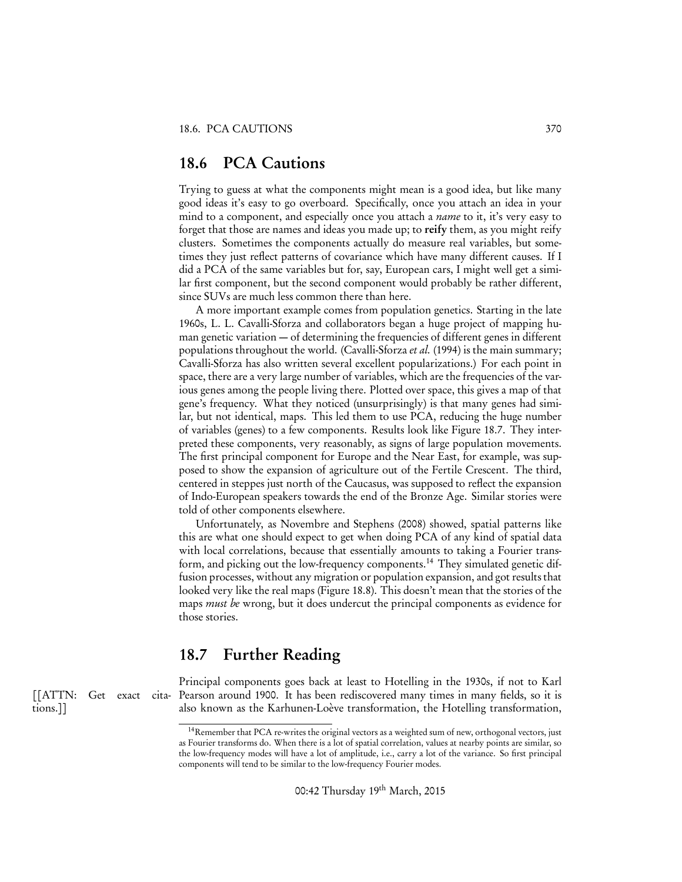## 18.6 PCA Cautions

Trying to guess at what the components might mean is a good idea, but like many good ideas it's easy to go overboard. Specifically, once you attach an idea in your mind to a component, and especially once you attach a *name* to it, it's very easy to forget that those are names and ideas you made up; to reify them, as you might reify clusters. Sometimes the components actually do measure real variables, but sometimes they just reflect patterns of covariance which have many different causes. If I did a PCA of the same variables but for, say, European cars, I might well get a similar first component, but the second component would probably be rather different, since SUVs are much less common there than here.

A more important example comes from population genetics. Starting in the late 1960s, L. L. Cavalli-Sforza and collaborators began a huge project of mapping human genetic variation — of determining the frequencies of different genes in different populations throughout the world. (Cavalli-Sforza *et al.* (1994) is the main summary; Cavalli-Sforza has also written several excellent popularizations.) For each point in space, there are a very large number of variables, which are the frequencies of the various genes among the people living there. Plotted over space, this gives a map of that gene's frequency. What they noticed (unsurprisingly) is that many genes had similar, but not identical, maps. This led them to use PCA, reducing the huge number of variables (genes) to a few components. Results look like Figure 18.7. They interpreted these components, very reasonably, as signs of large population movements. The first principal component for Europe and the Near East, for example, was supposed to show the expansion of agriculture out of the Fertile Crescent. The third, centered in steppes just north of the Caucasus, was supposed to reflect the expansion of Indo-European speakers towards the end of the Bronze Age. Similar stories were told of other components elsewhere.

Unfortunately, as Novembre and Stephens (2008) showed, spatial patterns like this are what one should expect to get when doing PCA of any kind of spatial data with local correlations, because that essentially amounts to taking a Fourier transform, and picking out the low-frequency components.<sup>14</sup> They simulated genetic diffusion processes, without any migration or population expansion, and got results that looked very like the real maps (Figure 18.8). This doesn't mean that the stories of the maps *must be* wrong, but it does undercut the principal components as evidence for those stories.

## 18.7 Further Reading

Principal components goes back at least to Hotelling in the 1930s, if not to Karl [[ATTN: Get exact cita- Pearson around 1900. It has been rediscovered many times in many fields, so it is tions.]] also known as the Karhunen-Loève transformation, the Hotelling transformation,

<sup>14</sup>Remember that PCA re-writes the original vectors as a weighted sum of new, orthogonal vectors, just as Fourier transforms do. When there is a lot of spatial correlation, values at nearby points are similar, so the low-frequency modes will have a lot of amplitude, i.e., carry a lot of the variance. So first principal components will tend to be similar to the low-frequency Fourier modes.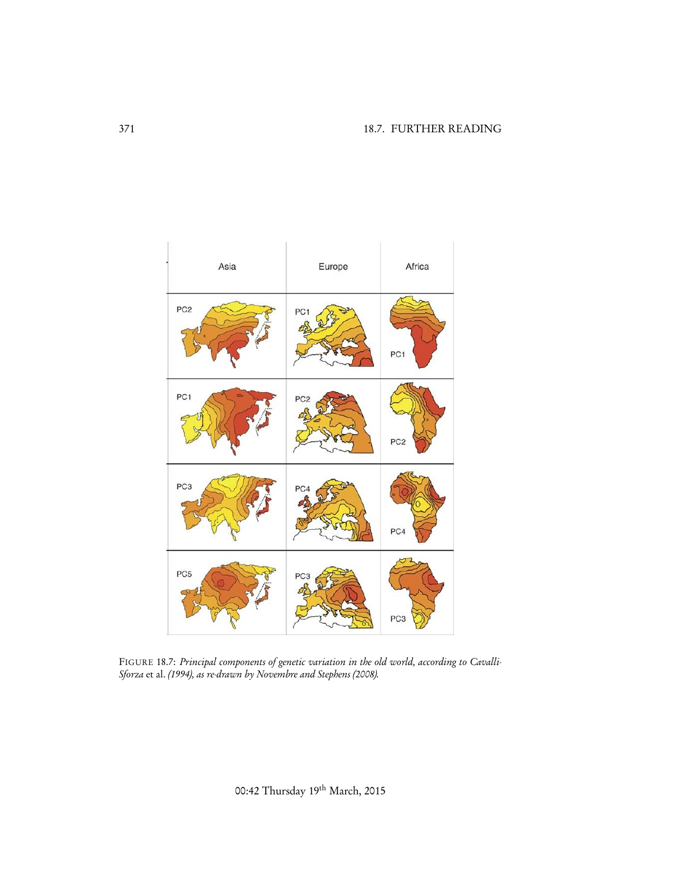

FIGURE 18.7: *Principal components of genetic variation in the old world, according to Cavalli-Sforza* et al. *(1994), as re-drawn by Novembre and Stephens (2008).*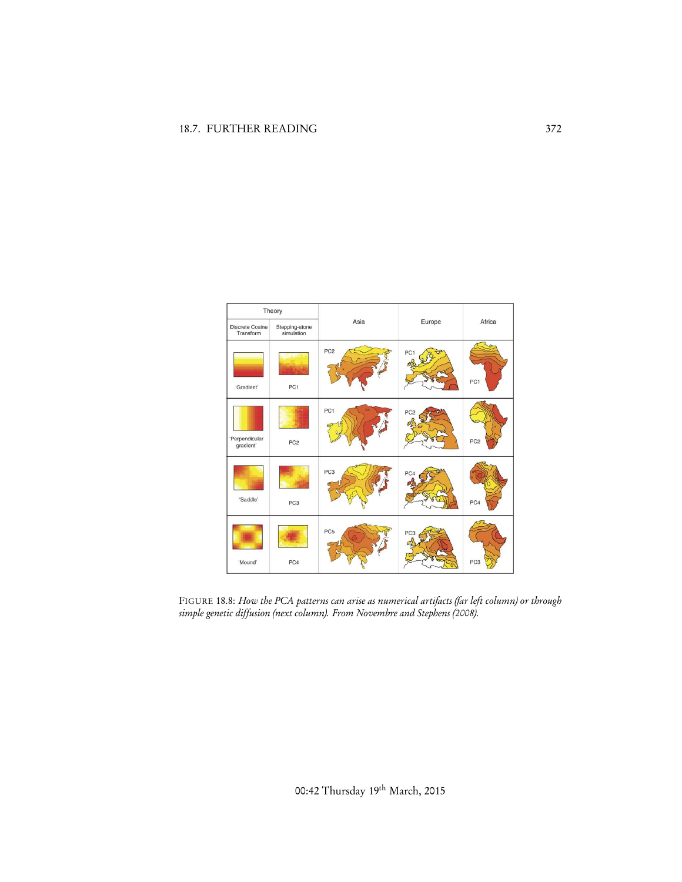

FIGURE 18.8: *How the PCA patterns can arise as numerical artifacts (far left column) or through simple genetic diffusion (next column). From Novembre and Stephens (2008).*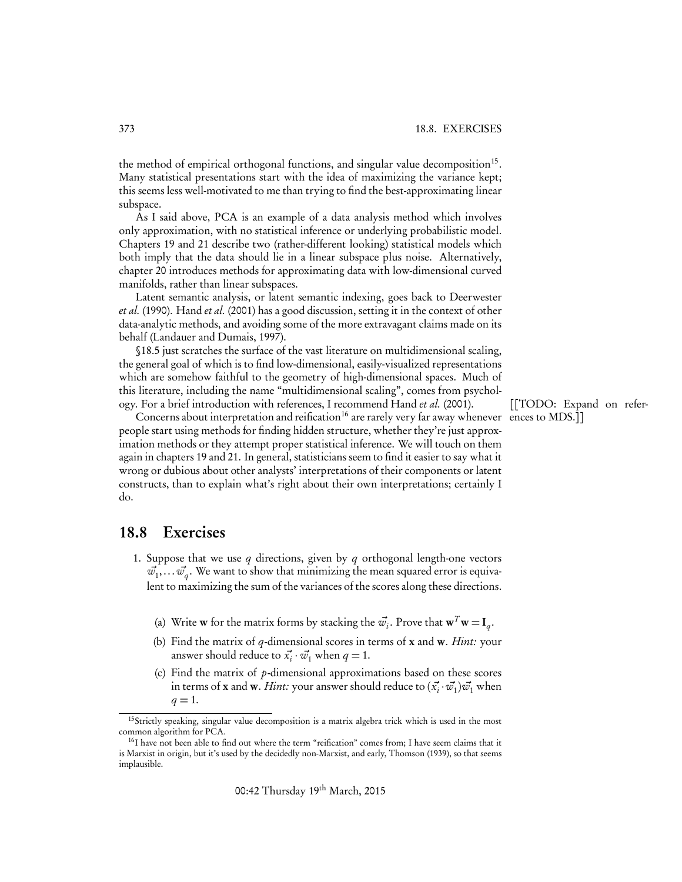the method of empirical orthogonal functions, and singular value decomposition<sup>15</sup>. Many statistical presentations start with the idea of maximizing the variance kept; this seems less well-motivated to me than trying to find the best-approximating linear subspace.

As I said above, PCA is an example of a data analysis method which involves only approximation, with no statistical inference or underlying probabilistic model. Chapters 19 and 21 describe two (rather-different looking) statistical models which both imply that the data should lie in a linear subspace plus noise. Alternatively, chapter 20 introduces methods for approximating data with low-dimensional curved manifolds, rather than linear subspaces.

Latent semantic analysis, or latent semantic indexing, goes back to Deerwester *et al.* (1990). Hand *et al.* (2001) has a good discussion, setting it in the context of other data-analytic methods, and avoiding some of the more extravagant claims made on its behalf (Landauer and Dumais, 1997).

§18.5 just scratches the surface of the vast literature on multidimensional scaling, the general goal of which is to find low-dimensional, easily-visualized representations which are somehow faithful to the geometry of high-dimensional spaces. Much of this literature, including the name "multidimensional scaling", comes from psychology. For a brief introduction with references, I recommend Hand *et al.* (2001). [[TODO: Expand on refer-<br>Concerns about interpretation and reification<sup>16</sup> are rarely very far away whenever ences to MDS.]]

Concerns about interpretation and reification<sup>16</sup> are rarely very far away whenever people start using methods for finding hidden structure, whether they're just approximation methods or they attempt proper statistical inference. We will touch on them again in chapters 19 and 21. In general, statisticians seem to find it easier to say what it wrong or dubious about other analysts' interpretations of their components or latent constructs, than to explain what's right about their own interpretations; certainly I do.

#### 18.8 Exercises

- 1. Suppose that we use *q* directions, given by *q* orthogonal length-one vectors  $\vec{w}_1,\ldots \vec{w}_q$ . We want to show that minimizing the mean squared error is equivalent to maximizing the sum of the variances of the scores along these directions.
	- (a) Write **w** for the matrix forms by stacking the  $\vec{w_i}$ . Prove that  $\mathbf{w}^T \mathbf{w} = \mathbf{I}_a$ .
	- (b) Find the matrix of *q*-dimensional scores in terms of x and w. *Hint:* your answer should reduce to  $\vec{x}_i \cdot \vec{w}_1$  when  $q = 1$ .
	- (c) Find the matrix of *p*-dimensional approximations based on these scores in terms of **x** and **w**. *Hint:* your answer should reduce to  $(\vec{x}, \cdot \vec{w_1})\vec{w_1}$  when  $q = 1.$

<sup>&</sup>lt;sup>15</sup>Strictly speaking, singular value decomposition is a matrix algebra trick which is used in the most common algorithm for PCA.

<sup>&</sup>lt;sup>16</sup>I have not been able to find out where the term "reification" comes from; I have seem claims that it is Marxist in origin, but it's used by the decidedly non-Marxist, and early, Thomson (1939), so that seems implausible.